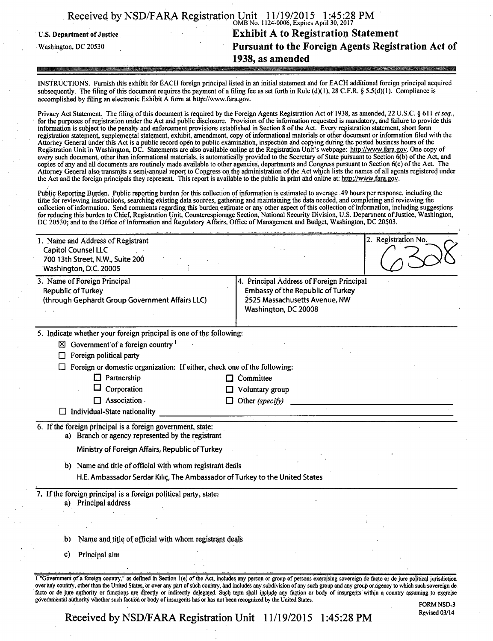|                            | Received by NSD/FARA Registration Unit 11/19/2015 1:45:28 PM |
|----------------------------|--------------------------------------------------------------|
| U.S. Department of Justice | <b>Exhibit A to Registration Statement</b>                   |
| Washington, DC 20530       | Pursuant to the Foreign Agents Registration Act of           |
|                            | 1938, as amended                                             |

INSTRUCTIONS. Furnish this exhibit for EACH foreign principal listed in an initial statement and for EACH additional foreign principal acquired subsequently. The filing of this document requires the payment of a filing fee as set forth in Rule (d)(1), 28 C.F.R. § 5.5(d)(1). Compliance is accomplished by filing an electronic Exhibit  $\hat{A}$  form at http://www.fara.gov.

Privacy Act Statement. The filing of this document is required by the Foreign Agents Registration Act of 1938, as amended, 22 U.S.C. § 611 et seq., for the purposes of registration under the Act and public disclosure. Provision of the information requested is mandatory, and failure to provide this information is subject to the penalty and enforcement provisions established in Section 8 of the Act. Every registration statement, short form registration statement, supplemental statement, exhibit, amendment, copy of informational materials or other document or information filed with the Attorney General under this Act is a public record open to public examination, inspection and copying during the posted business hours of the Registration Unit in Washington, DC. Statements are also available online at the Registration Unit's webpage: http://www.fara.gov. One copy of every such document, other than informational materials, is automatically provided to the Secretary of State pursuant to Section 6(b) of the Act, and copies of any and all documents are routinely made available to other agencies, departments and Congress pursuant to Section 6(c) of the Act. The Attorney General also transmits a semi-annual report to Congress on the administration of the Act which lists the names of all agents registered under the Act and the foreign principals they represent. This report is available to the public in print and online at: http://www.fara.gov.

Public Reporting Burden, Public reporting burden for mis collection of information is estimated to average .49 hours per response, including the time for reviewing instructions, searching existing data sources, gathering and maintaining the data needed, and completing and reviewing the collection of information. Send comments regarding this burden estimate or any other aspect of this col lection of information, including suggestions for reducing this burden to Chief, Registration Unit, Counterespionage Section, National Security Division, U.S. Department of Justice, Washington, DC 20530; and to the Office of Information and Regulatory Affairs, Office of Management and Budget, Washington, DC 20503.

| 1. Name and Address of Registrant<br><b>Capitol Counsel LLC</b><br>700 13th Street, N.W., Suite 200<br>Washington, D.C. 20005 | 2. Registration No.                                                                                                                                                                                                                                                                                                                                                                                                                                                                                                                                                              |
|-------------------------------------------------------------------------------------------------------------------------------|----------------------------------------------------------------------------------------------------------------------------------------------------------------------------------------------------------------------------------------------------------------------------------------------------------------------------------------------------------------------------------------------------------------------------------------------------------------------------------------------------------------------------------------------------------------------------------|
| 3. Name of Foreign Principal<br><b>Republic of Turkey</b><br>(through Gephardt Group Government Affairs LLC)                  | 4. Principal Address of Foreign Principal<br><b>Embassy of the Republic of Turkey</b><br>2525 Massachusetts Avenue, NW<br>Washington, DC 20008                                                                                                                                                                                                                                                                                                                                                                                                                                   |
| 5. Indicate whether your foreign principal is one of the following:                                                           |                                                                                                                                                                                                                                                                                                                                                                                                                                                                                                                                                                                  |
| $\boxtimes$ Government of a foreign country $^1$                                                                              |                                                                                                                                                                                                                                                                                                                                                                                                                                                                                                                                                                                  |
| Foreign political party                                                                                                       |                                                                                                                                                                                                                                                                                                                                                                                                                                                                                                                                                                                  |
| Foreign or domestic organization: If either, check one of the following:                                                      |                                                                                                                                                                                                                                                                                                                                                                                                                                                                                                                                                                                  |
| $\Box$ Partnership                                                                                                            | Committee<br>LJ                                                                                                                                                                                                                                                                                                                                                                                                                                                                                                                                                                  |
| Corporation                                                                                                                   | Voluntary group                                                                                                                                                                                                                                                                                                                                                                                                                                                                                                                                                                  |
| $\Box$ Association.                                                                                                           | Other (specify)                                                                                                                                                                                                                                                                                                                                                                                                                                                                                                                                                                  |
| $\Box$ Individual-State nationality                                                                                           |                                                                                                                                                                                                                                                                                                                                                                                                                                                                                                                                                                                  |
| 6. If the foreign principal is a foreign government, state:<br>a) Branch or agency represented by the registrant              |                                                                                                                                                                                                                                                                                                                                                                                                                                                                                                                                                                                  |
| Ministry of Foreign Affairs, Republic of Turkey                                                                               |                                                                                                                                                                                                                                                                                                                                                                                                                                                                                                                                                                                  |
| b) Name and title of official with whom registrant deals                                                                      |                                                                                                                                                                                                                                                                                                                                                                                                                                                                                                                                                                                  |
| H.E. Ambassador Serdar Kılıç, The Ambassador of Turkey to the United States                                                   |                                                                                                                                                                                                                                                                                                                                                                                                                                                                                                                                                                                  |
| 7. If the foreign principal is a foreign political party, state:<br>a) Principal address                                      |                                                                                                                                                                                                                                                                                                                                                                                                                                                                                                                                                                                  |
|                                                                                                                               |                                                                                                                                                                                                                                                                                                                                                                                                                                                                                                                                                                                  |
| Name and title of official with whom registrant deals<br>b)                                                                   |                                                                                                                                                                                                                                                                                                                                                                                                                                                                                                                                                                                  |
| Principal aim<br>c)                                                                                                           |                                                                                                                                                                                                                                                                                                                                                                                                                                                                                                                                                                                  |
| governmental authority whether such faction or body of insurgents has or has not been recognized by the United States.        | I "Government of a foreign country," as defined in Section 1(e) of the Act, includes any person or group of persons exercising sovereign de facto or de jure political jurisdiction<br>over any country, other than the United States, or over any part of such country, and includes any subdivision of any such group and any group or agency to which such sovereign de<br>facto or de jure authority or functions are directly or indirectly delegated. Such term shall include any faction or body of insurgents within a country assuming to exercise<br><b>FORM NSD-3</b> |

Received by NSD/FARA Registration Unit 11/19/2015 1:45:28 PM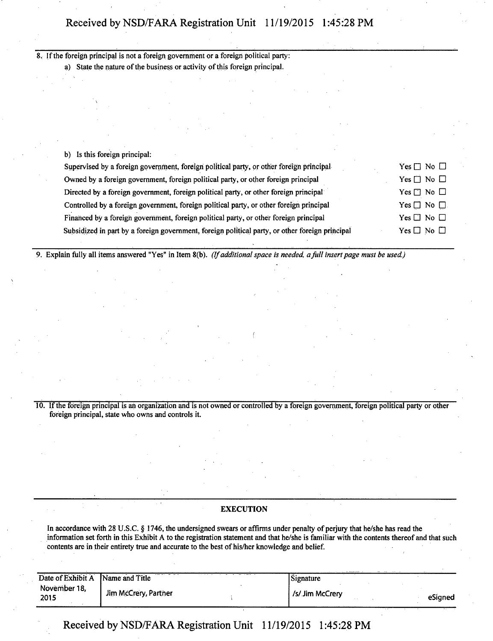# **Received by NSD/FARA Registration Unit 11/19/2015 1:45:28 PM**

8. If the foreign principal is not a foreign government or a foreign political party: a) State the nature of the business or activity of this foreign principal.

b) Is this foreign principal:

| Supervised by a foreign government, foreign political party, or other foreign principal         | Yes $\Box$ No $\Box$       |
|-------------------------------------------------------------------------------------------------|----------------------------|
| Owned by a foreign government, foreign political party, or other foreign principal              | Yes $\Box$ No $\Box$       |
| Directed by a foreign government, foreign political party, or other foreign principal           | Yes $\Box$ No $\Box$       |
| Controlled by a foreign government, foreign political party, or other foreign principal         | $Yes \Box No \Box$         |
| Financed by a foreign government, foreign political party, or other foreign principal           | Yes $\Box$ No $\Box$       |
| Subsidized in part by a foreign government, foreign political party, or other foreign principal | Yes $\square$ No $\square$ |

*9. Explain fully all items answered "Yes" in Item 8(b). (If additional space is needed, a fall insert page must be used.)* 

10. If the foreign principal is ah organization and is not owned or controlled by a foreign government, foreign political party or other foreign principal, state who owns and controls it.

**f** 

#### **EXECUTION**

In accordance with 28 U.S.C. § 1746, the undersigned swears or affirms under penalty of perjury that he/she has read the information set forth in this Exhibit A to the registration statement and that he/she is familiar with the contents thereof and that such contents are in their entirety true and accurate to the best of his/her knowledge and belief.

| Date of Exhibit A    | ---<br>$1.444$ $1.44$<br>Name and Title | Signature      |         |
|----------------------|-----------------------------------------|----------------|---------|
| November 18,<br>2015 | Jim McCrery, Partner                    | /s/Jim McCrery | eSigned |

**Received by NSD/FARA Registration Unit 11/19/2015 1:45:28 PM**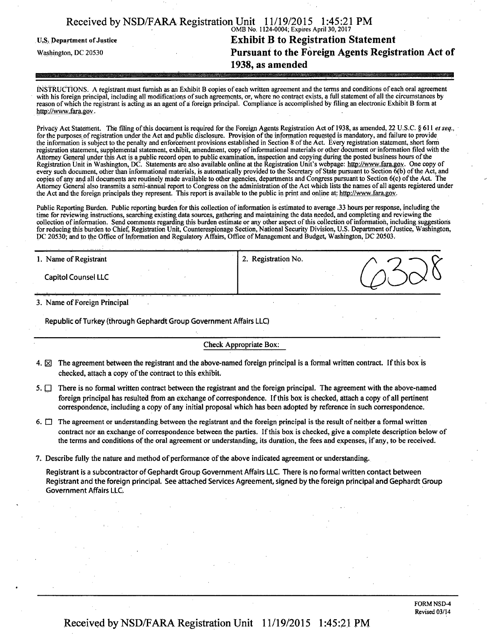| Received by NSD/FARA Registration Unit 11/19/2015 1:45:21 PM |                                           |  |
|--------------------------------------------------------------|-------------------------------------------|--|
|                                                              | OMB No. 1124-0004; Expires April 30, 2017 |  |

# **v.s. Department of Justice 1988 Exhibit B to Registration Statement Washington, DC 20530**<br> **Pursuant to the Foreign Agents Regist Pursuant to the Foreign Agents Registration Act of 1938, as amended**

INSTRUCTIONS. A registrant must furnish as an Exhibit B copies of each written agreement and the terms and conditions of each oral agreement with his foreign principal, including all modifications of such agreements, or, where no contract exists, a full statement of all the circumstances by reason of which the registrant is acting as an agent of a foreign principal. Compliance is accomplished by filing an electronic Exhibit B form at http://wwv.fara.gov.

*Privacy Act Statement. The filing of this document is required for the Foreign Agents Registration Act of 1938, as amended, 22 U.S.C. § 611 el seq.,*  for the purposes of registration under the Act and public disclosure. Provision of the information requested is mandatory, and failure to provide *the information is subject to the penalty and enforcement provisions established in Section 8 of the Act. Every registration statement, short form registration statement, supplemental statement, exhibit, amendment, copy of informational materials or other document or information filed with the Attorney General under this Act is a public record open to public examination, inspection and copying during the posted business hours of the Registration Unit in Washington, DC. Statements are also available online at the Registration Unit's webpage: http://www.fara.gov. One copy of every such document, other than informational materials, is automatically provided to the Secretary of State pursuant to Section 6(b) of the Act, and copies of any and all documents are routinely made available to other agencies, departments and Congress pursuant to Section 6(c) of the Act. The Attorney General also transmits a semi-annual report to Congress on the administration of the Act which lists the names of all agents registered under*  the Act and the foreign principals they represent. This report is available to the public in print and online at: http://www.fara.gov.

Public Reporting Burden. Public reporting burden for this collection of information is estimated to average .33 hours per response, including the time for reviewing instructions, searching existing data sources, gathering and maintaining the data needed, and completing and reviewing the collection of information. Send comments regarding this burden estimate or any other aspect of this collection of information, including suggestions for reducing this burden to Chief, Registration Unit, Counterespionage Section, National Security Division, U.S. Department of Justice, Washington, DC 20530; and to the Office of Information and Regulatory Affairs, Office of Management and Budget, Washington, DC 20503.

| 1. Name of Registrant      | 2. Registration No. |   |
|----------------------------|---------------------|---|
| <b>Capitol Counsel LLC</b> |                     | Х |

3. Name of Foreign Principal

Republic of Turkey (through Gephardt Group Government Affairs LLC)

#### Check Appropriate Box:

- 4.  $\boxtimes$  The agreement between the registrant and the above-named foreign principal is a formal written contract. If this box is checked, attach a copy of the contract to this exhibit.
- 5.  $\Box$  There is no formal written contract between the registrant and the foreign principal. The agreement with the above-named foreign principal has resulted from an exchange of correspondence. If this box is checked, attach a copy of all pertinent correspondence, including a copy of any initial proposal which has been adopted by reference in such correspondence.
- 6.  $\Box$  The agreement or understanding between the registrant and the foreign principal is the result of neither a formal written contract nor an exchange of correspondence between the parties. If this box is checked, give a complete description below of the terms and conditions of the oral agreement or understanding, its duration, the fees and expenses, if any, to be received.
- 7. Describe fully the nature and method of performance of the above indicated agreement or understanding.

Registrant is a subcontractor of Gephardt Group Government Affairs LLC. There is no formal written contact between Registrant and the foreign principal. See attached Services Agreement, signed by the foreign principal and Gephardt Group Government Affairs LLC.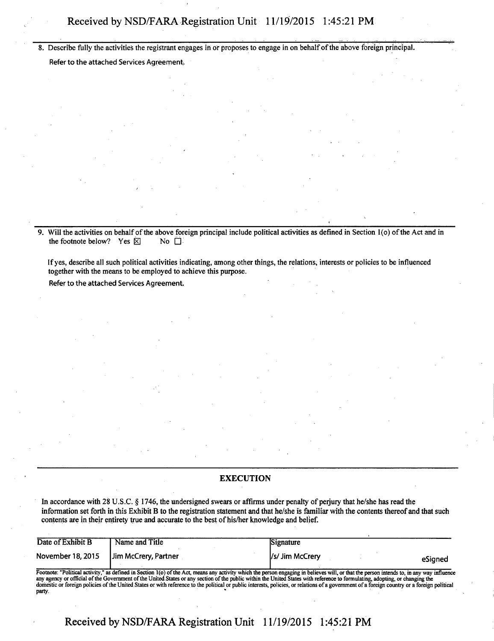# Received by NSD/FARA Registration Unit 11/19/2015 1:45:21 PM

8 . Describe fully the activities the registrant engages in or proposes to engage in on behalf of the above foreign principal.

Refer to the attached Services Agreement,

9. Will the activities on behalf of the above foreign principal include political activities as defined in Section 1(o) of the Act and in the footnote below? Yes  $\boxtimes$  No  $\Box$ the footnote below? Yes  $\boxtimes$ 

If yes, describe all such political activities indicating, among other things, the relations, interests or policies to be influenced together with the means to be employed to achieve this purpose.

Refer to the attached Services Agreement.

#### **EXECUTION**

In accordance with 28 U.S.C. § 1746, the undersigned swears or affirms under penalty of perjury that he/she has read the information set forth in this Exhibit B to the registration statement and that he/she is familiar with the contents thereof and that such contents are in their entirety true and accurate to the best of his/her knowledge and belief.

| Date of Exhibit B | Name and Title       | Signature                                                                                                                                                                                 |  |
|-------------------|----------------------|-------------------------------------------------------------------------------------------------------------------------------------------------------------------------------------------|--|
| November 18, 2015 | Jim McCrery, Partner | I/s/ Jim McCrery<br>eSianed                                                                                                                                                               |  |
|                   |                      | Footnote: "Political activity," as defined in Section 1(o) of the Act, means any activity which the person engaging in believes will, or that the person intends to, in any way influence |  |

Footnote: "Political activity," as defined in Section 1(o) of the Act, means any activity which the person engaging in believes will, or that the person intends to, in any way influence any agency or official of the Govern domestic or foreign policies of the United States or with reference to the political or public interests, policies, or relations of a government of a foreign country or a foreign political party. "

**Received by NSD/FARA Registration Unit 11/19/2015 1:45:21 PM**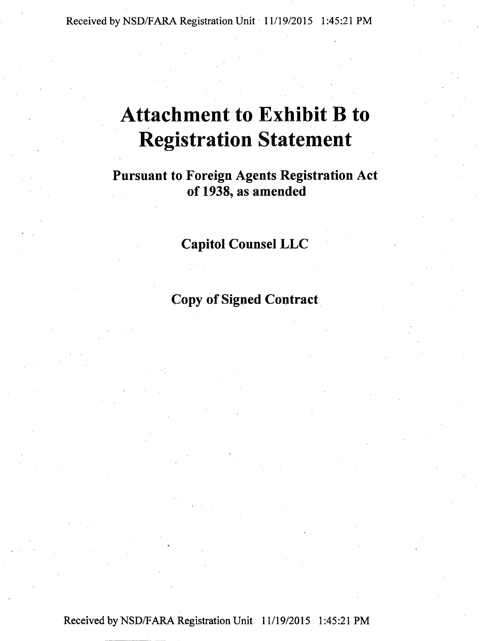# **Attachment to Exhibit B to Registration Statement**

**Pursuant to Foreign Agents Registration Act of 1938, as amended** 

# **Capitol Counsel LLC**

**Copy of Signed Contract**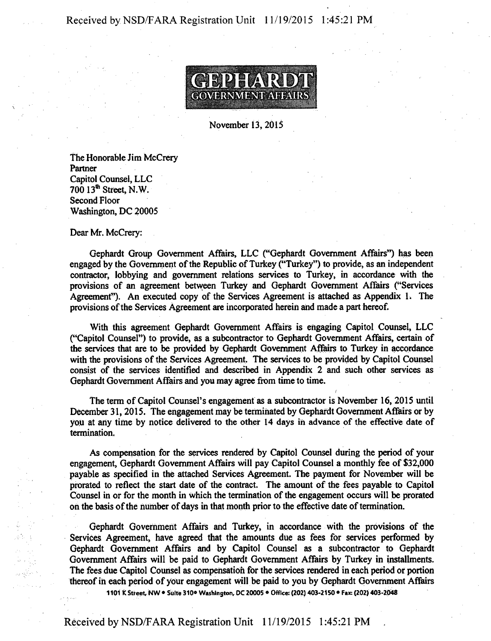

**November 13,2015** 

**The Honorable Jim McCrery Partner Capitol Counsel, LLC 700 13\* Street, N.W. Second Floor Washington, DC 20005** 

**Dear Mr. McCrery:** 

**Gephardt Group Government Affairs, LLC ("Gephardt Government Affairs") has been engaged by the Government of the Republic of Turkey ("Turkey") to provide, as an independent**  contractor, lobbying and government relations services to Turkey, in accordance with the **provisions of an agreement between Turkey and Gephardt Government Affairs ("Services**  Agreement"). An executed copy of the Services Agreement is attached as Appendix 1. The **provisions of the Services Agreement are incorporated herein and made a part hereof.** 

**With this agreement Gephardt Government Affairs is engaging Capitol Counsel, LLC ("Capitol Counsel") to provide, as a subcontractor to Gephardt Government Affairs, certain of the services that are to be provided by Gephardt Government Affairs to Turkey in accordance with the provisions of the Services Agreement. The services to be provided by Capitol Counsel consist of the services identified and described in Appendix 2 and such other services as Gephardt Government Affairs and you may agree from time to time.** 

**the term of Capitol Counsel's engagement as a subcontractor is November 16, 2015 until December 31,2015. The engagement may be terminated by Gephardt Government Affairs or by you at any time by notice delivered to the other 14 days in advance of the effective date of termination.** 

**As compensation for the services rendered by Capitol Counsel during the period of your engagement, Gephardt Government Affairs will pay Capitol Counsel a monthly fee of \$32,000 payable as specified in the attached Services Agreement. The payment for November will be prorated to reflect the start date of the contract. The amount of the fees payable to Capitol Counsel in or for the month in which the termination of the engagement occurs will be prorated on the basis of the number of days in that month prior to the effective date of termination.** 

**Gephardt Government Affairs and Turkey, in accordance with the provisions of the Services Agreement, have agreed that the amounts due as fees for services performed by Gephardt Government Affairs and by Capitol Counsel as a subcontractor to Gephardt Government Affairs will be paid to Gephardt Government Affairs by Turkey in installments. The fees due Capitol Counsel as compensation for the services rendered in each period of portion thereof in each period of your engagement will be paid to you by Gephardt Government Affairs** 

**1101 K Street NW • Suite 310\* Washington, OC 20005 • Office: (202) 403-2150 • Fax: (202) 403-2048**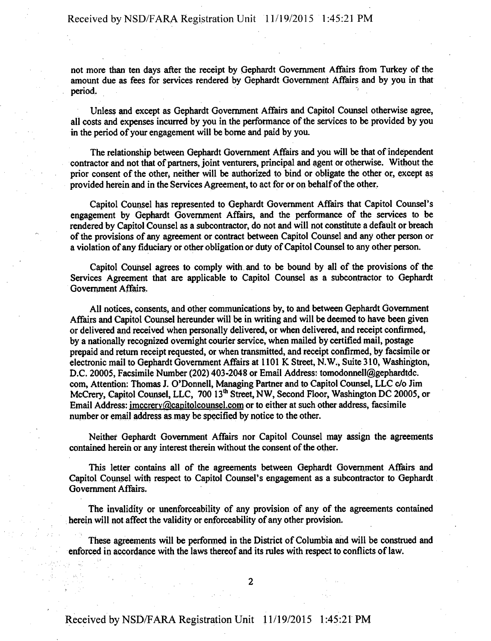**not more than ten days after the receipt by Gephardt Government Affairs from Turkey of the amount due as fees for services rendered by Gephardt Government Affairs and by you in that period.** The contract of the contract of the contract of the contract of the contract of the contract of the contract of the contract of the contract of the contract of the contract of the contract of the contract of the

**Unless and except as Gephardt Government Affairs and Capitol Counsel otherwise agree, all costs and expenses incurred by you in the performance of the services to be provided by you in the period of your engagement will be borne and paid by you.** 

**The relationship between Gephardt Government Affairs and you will be that of independent contractor and not that of partners, joint venturers, principal and agent or otherwise. Without the prior consent of the other, neither will be authorized to bind or obligate the other or, except as provided herein and in the Services Agreement, to act for or on behalf of the other.** 

**Capitol Counsel has represented to Gephardt Government Affairs that Capitol Counsel's engagement by Gephardt Government Affairs, and the performance of the services to be rendered by Capitol Counsel as a subcontractor, do not and will not constitute a default or breach of the provisions of any agreement or contract between Capitol Counsel and any other person or a violation of any fiduciary or other obligation or duty of Capitol Counsel to any other person.** 

**Capitol Counsel agrees to comply with and to be bound by all of the provisions of the Services Agreement that are applicable to Capitol Counsel as a subcontractor to Gephardt Government Affairs.** 

**All notices, consents, and other communications by, to and between Gephardt Government Affairs and Capitol Counsel hereunder will be in writing and will be deemed to have been given or delivered and received when personally delivered, or when delivered, and receipt confirmed, by a nationally recognized overnight courier service, when mailed by certified mail, postage prepaid and return receipt requested, or when transmitted, and receipt confirmed, by facsimile or electronic mail to Gephardt Government Affairs at 1101 K Street, N.W.-, Suite 310, Washington, D.C. 20005, Facsimile Number (202) 403-2048 or Email Address: tomodonnell@gephardtde. com, Attention: Thomas J. O'Donnell, Managing Partner and to Capitol Counsel, LLC e/o Jim McCrery, Capitol Counsel, LLC, 700 13th Street, NW, Second Floor, Washington DC 20005, or**  Email Address: imccrery@capitolcounsel.com or to either at such other address, facsimile number or email address as may be specified by notice to the other.

**Neither Gephardt Government Affairs nor Capitol Counsel may assign the agreements contained herein or any interest therein without the consent of the other.** 

**This letter contains all of the agreements between Gephardt Government Affairs and Capitol Counsel with respect to Capitol Counsel's engagement as a subcontractor to Gephardt Government Affairs.** 

**The invalidity or unenforceability of any provision of any of the agreements contained herein will not affect the validity or enforceability of any other provision.** 

**These agreements will be performed in the District of Columbia and will be construed and**  enforced in accordance with the laws thereof and its rules with respect to conflicts of law.

**2**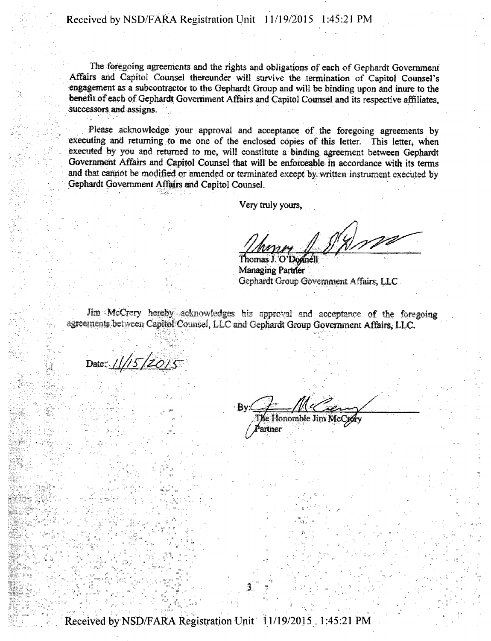The foregoing agreements and the rights and obligations of each of Gephardt Government Affairs and Capitol Counsel thereunder will survive the termination of Capitol Counsel's engagement as a subcontractor to the Gephardt Group and will be binding upon and inure to the benefit of each of Gephardt Government Affairs and Capitol Counsel and its respective affiliates, successors and assigns.

Please acknowledge your approval and acceptance of the foregoing agreements by executing and returning to me one of the enclosed copies of this letter. This letter, when executed by you and returned to me, will constitute a binding agreement between Gephardt Government Affairs and Capitol Counsel that will be enforceable in accordance with its terms and that cannot be modified or amended or terminated except by written instrument executed by Gephardt Government Affairs and Capitol Counsel.

Very truly yours,

 $10022$ 

Thomas J. O'Donnell Managing Partner Gephardt Group Government Affairs, LLC.

Jim McCrery hereby acknowledges his approval and acceptance of the foregoing agreements between Capitol Counsel, LLC and Gephardt Group Government Affairs, LLC.

Date: ////*5/20*/*k* 

By:

The Honorable Jim Mc<br>Partner

Received by NSD/FARA Registration Unit 11/19/2015 1:45:21 PM

 $3<sup>1</sup>$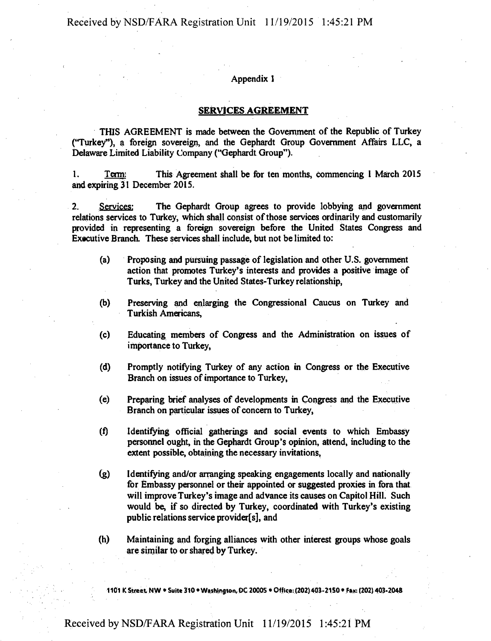## Received by NSD/FARA Registration Unit 11/19/2015 1:45:21 PM

#### **Appendix 1**

#### **SERVICES AGREEMENT**

THIS AGREEMENT is made between the Government of the Republic of Turkey ("Turkey"), a foreign sovereign, and the Gephardt Group Government Affairs LLC, a Delaware Limited Liability Company ("Gephardt Group").

1. Term: This Agreement shall be for ten months, commencing 1 March 2015 and expiring 31 December 2015.

2. Services: The Gephardt Group agrees to provide lobbying and government relations services to Turkey, which shall consist of those services ordinarily and customarily provided in representing a foreign sovereign before the United States Congress and Exscutive Branch. These services shall include, but not be limited to:

- (a) Proposing and pursuing passage of legislation and other U.S. government action that promotes Turkey's interests and provides a positive image of Turks, Turkey and the United States-Turkey relationship,
- (b) Preserving and enlarging the Congressional Caucus on Turkey and Turkish Americans,
- (c) Educating members of Congress and the Administration on issues of importance to Turkey,
- (d) Promptly notifying Turkey of any action in Congress or the Executive Branch on issues of importance to Turkey,
- (e) Preparing brief analyses of developments in Congress and the Executive Branch on particular issues of concern to Turkey,
- (f) Identifying official gatherings and social events to which Embassy personnel ought, in the Gephardt Group's opinion, attend, including to the extent possible, obtaining the necessary invitations,
- (g) Identifying and/or arranging speaking engagements locally and nationally for Embassy personnel or their appointed or suggested proxies in fora that will improve Turkey's image and advance its causes on Capitol Hill. Such would be, if so directed by Turkey, coordinated with Turkey's existing public relations service provider[s], and
- (h) Maintaining and forging alliances with other interest groups whose goals are similar to or shared by Turkey.

**1101 K Street NW • Suite 310 • Washington, DC 20005 • Office: (202) 403-2150 • Fax: (202) 403.2048** 

# Received by NSD/FARA Registration Unit 11/19/2015 1:45:21 PM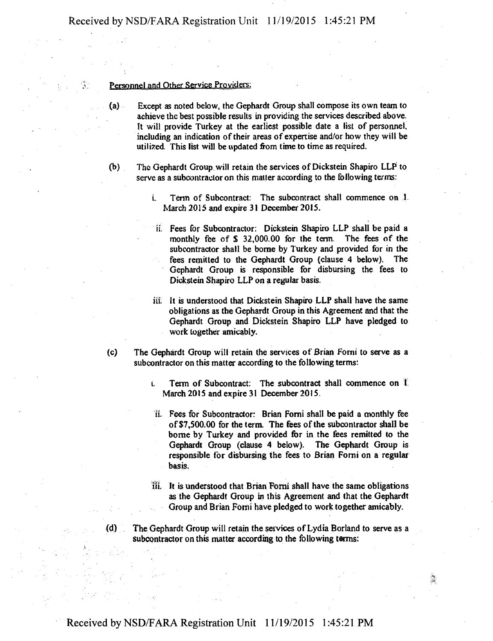#### **Personnel and Other Service Providers:**

- **(a) Except as noted below, the Gephardt Group shall compose its own team to achieve the best possible results in providing the services described above. It will provide Turkey at the earliest possible date a list of personnel, including an indication of their areas of expertise and/or how they will be utilized. This list will be updated from time to time as required.**
- **(b) The Gephardt Group will retain the services of Dickstein Shapiro LLP to serve as a subcontractor on this matter according to the following terms:** 
	- **i. Term of Subcontract: The subcontract shall commence on I March 2015 and expire 31 December 2015.**
	- **ii. Fees for Subcontractor: Dickstein Shapiro LLP shall be paid a monthly fee of \$ 32,000.00 for the term. The fees of the subcontractor shall be borne by Turkey and provided for in the fees remitted to the Gephardt Group {clause 4 below). The Gephardt Group is responsible for disbursing the fees to Dickstein Shapiro LLP on a regular basis.**
	- **iii. It is understood that Dickstein Shapiro LLP shall have the same obligations as the Gephardt Group in this Agreement and that the Gephardt Group and Dickstein Shapiro LLP have pledged to work together amicably.**
- **(c) The Gephardt Group will retain the services of Brian Forni to serve as a subcontractor on this matter according to the following terms:** 
	- **t. Term of Subcontract: The subcontract shall commence on 1 March 2015 and expire 31 December 2015.**
	- **ii. Fees for Subcontractor: Brian Fomi shall be paid a monthly fee of \$7,500.00 for the term The fees of the subcontractor shall be**  borne by Turkey and provided for in the fees remitted to the **Gephardt Group (clause 4 below). The Gephardt Group is responsible for disbursing the fees to Brian Forni on a regular basis.**
	- **iii. It is understood that Brian Fomi shall have the same obligations as the Gephardt Group in this Agreement and that the Gephardt Group and Brian FOrni have pledged to work together amicably.**
- **The Gephardt Group will retain the services of Lydia Borland to serve as a subcontractor on this matter according to the following terms: (d)**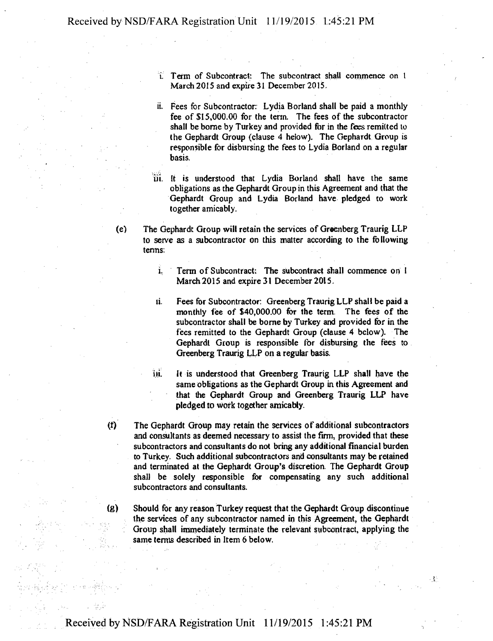- **i. Term of Subcontract: The subcontract shall commence on 1 March 2015 and expire 31 December 2015.**
- **ii. Fees for Subcontractor: Lydia Borland shall be paid a monthly fee of \$15,000.00 for the term. The fees of the subcontractor shall be borne by Turkey and provided for in the fees remitted to the Gephardt Group (clause 4 helow). The Gephardt Group is responsible for disbursing the fees to Lydia Borland on a regular basis.**
- **iii. It is understood that Lydia Borland shall have the same obligations as the Gephardt Group in this Agreement and that the Gephardt Group and Lydia Borland have pledged to work together amicably.**
- (e) The Gephardt Group will retain the services of Greenberg Traurig LLP **to serve as a subcontractor on this matter according to the following terms:** 
	- **i. Term of Subcontract: The subcontract shall commence on I March 2015 and expire 31 December 2015.**
	- **ii. Fees for Subcontractor: Greenberg Traurig LLP shall be paid a monthly fee of \$40,000.00 for the term. The fees of the subcontractor shall be borne by Turkey and provided for in the fees remitted to the Gephardt Group (clause 4 below). The Gephardt Group is responsible for disbursing the fees to Greenberg Traurig LLP on a regular basia**
	- **iii. It is understood that Greenberg Traurig LLP shall have the same obligations as the Gephardt Group in this Agreement and that the Gephardt Group and Greenberg Traurig LLP have pledged to work together amicably.**
- **(f) The Gephardt Group may retain the services of additional subcontractors and consultants as deemed necessary to assist the firm, provided that these subcontractors and consultants do not bring any additional financial burden to Turkey. Such additional subcontractors and consultants may be retained and terminated at the Gephardt Group's discretion. The Gephardt Group shall be solely responsible for compensating any such additional subcontractors and consultants.**
- **(g) Should for any reason Turkey request that the Gephardt Group discontinue the services of any subcontractor named in this Agreement, the Gephardt Group shall immediately terminate the relevant subcontract, applying the same terms described in Item 6 below.**
-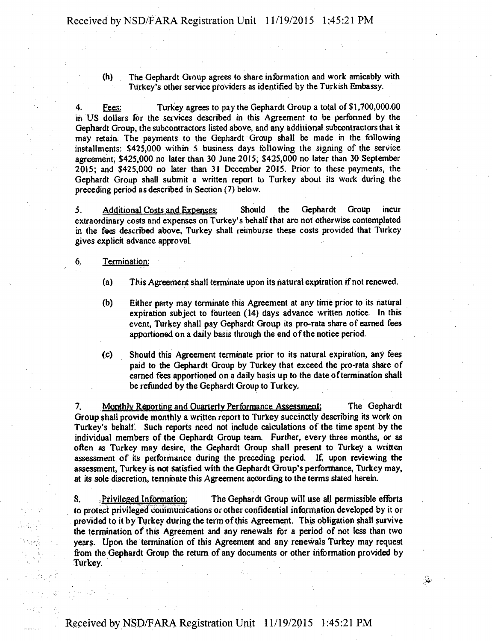**(h) The Gephardt Group agrees to share information and work amicably with Turkey's other service providers as identified by the Turkish Embassy.** 

**4. Fees: Turkey agrees to pay the Gephardt Group a total of \$ 1,700,000.00**  in US dollars for the services described in this Agreement to be performed by the **Gephardt Group, the subcontractors listed above, and any additional subcontractors that it may retain The payments to the Gephardt Group shall be made in the following installments: \$425,000 within 5 business days following the signing of the service agreement, \$425,000 no later than 30 June 2015, \$425,000 no later than 30 September 2015; and \$425,000 no later than 31 December 2015. Prior to these payments, the Gephardt Group shall submit a written report to Turkey about its work during the preceding period as described in Section (7) below.** 

**5. Additional Costs and Expenses: Should the Gephardt Group incur extraordinary costs and expenses on Turkey's behalf that arc not otherwise contemplated in the fees described above, Turkey shall reimburse these costs provided that Turkey gives explicit advance approval.** 

#### **6. Termination:**

- **(a) This Agreement shall terminate upon its natural expiration if not renewed.**
- **(b) Either party may terminate this Agreement at any time prior to its natural expiration subject to fourteen (14) days advance written notice. In this event, Turkey shall pay Gephardt Group its pro-rata share of earned fees apportioned on a daily basis through the end of the notice period.**
- **(c) Should this Agreement terminate prior to its natural expiration, any fees paid to the Gephardt Group by Turkey that exceed the pro-rata share of earned fees apportioned on a daily basis up to the date of termination shall be refunded by the Gephardt Group to Turkey.**

**7. Monthly Reporting and Quarterly Performance Assessment: The Gephardt Group shall provide monthly a written report to Turkey succinctly describing its work on Turkey's behalf. Such reports need not include calculations of the time spent by the individual members of the Gephardt Group team. Further, every three months, or as often as Turkey may desire, the Gephardt Group shall present to Turkey a written assessment of its performance during the preceding period. If, upon reviewing the assessment, Turkey is not satisfied with the Gephardt Group's performance, Turkey may, at its sole discretion, terminate this Agreement according to the terms stated herein.** 

**8. . Privileged Information: The Gephardt Group will use all permissible efforts to protect privileged communications or other confidential information developed by it or provided to it by Turkey during the term of this Agreement. This obligation shall survive the termination of this Agreement and any renewals for a period of not less than two years. Upon the termination of this Agreement and any renewals Turkey may request from the Gephardt Group the return of any documents or other information provided by Turkey.**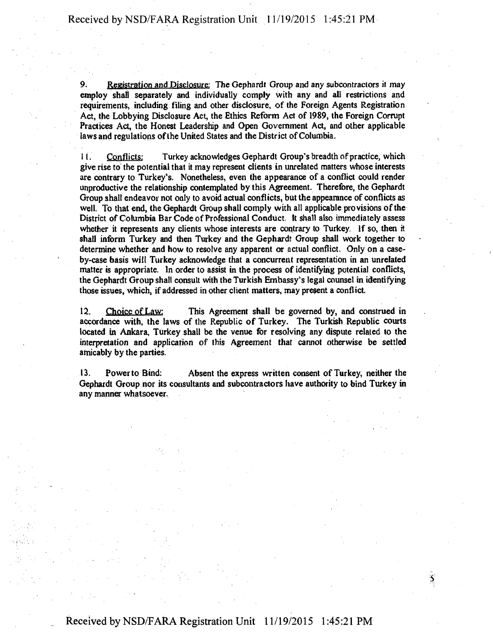**9. Registration and Disclosure: The Gephardt Group and any subcontractors it may employ shall separately and individually comply with any and all restrictions and requirements, including filing and other disclosure, of the Foreign Agents Registration Act, the Lobbying Disclosure Act, the Ethics Reform Act of 1989, the Foreign Corrupt Practices Act, the Honest Leadership and Open Government Act, and other applicable laws and regulations of the United States and the District of Columbia.** 

**11. Conflicts: Turkey acknowledges Gephardt Group's breadth of practice, which give rise to the potential that it may represent clients in unrelated matters whose interests are contrary to Turkey's. Nonetheless, even the appearance of a conflict could render unproductive the relationship contemplated by this Agreement. Therefore, the Gephardt Group shall endeavor not only to avoid actual conflicts, but the appearance of conflicts as well. To that end, the Gephardt Group shall comply with all applicable provisions of the District of Columbia Bar Code of Professional Conduct. It shall also immediately assess whether it represents any clients whose interests are contrary to Turkey. If so, then it shall inform Turkey and then Turkey and the Gephardt Group shall work together to determine whether and how to resolve any apparent or actual conflict. Only on a caseby-case basis will Turkey acknowledge that a concurrent representation in an unrelated matter is appropriate. In order to assist in the process of identifying potential conflicts, the Gephardt Group shall consult with the Turkish Embassy's legal counsel in identifying**  those issues, which, if addressed in other client matters, may present a conflict.

**12. Choice of Law: This Agreement shall be governed by, and construed in accordance with, the laws of the Republic of Turkey. The Turkish Republic courts located in Ankara, Turkey shall be the venue for resolving any dispute related to the interpretation and application of this Agreement that cannot otherwise be settled amicably by the parties.** 

**13. Powerto Bind: Absent the express written consent of Turkey, neither the Gephardt Group nor its consultants and subcontractors have authority to bind Turkey in any manner whatsoever.** 

S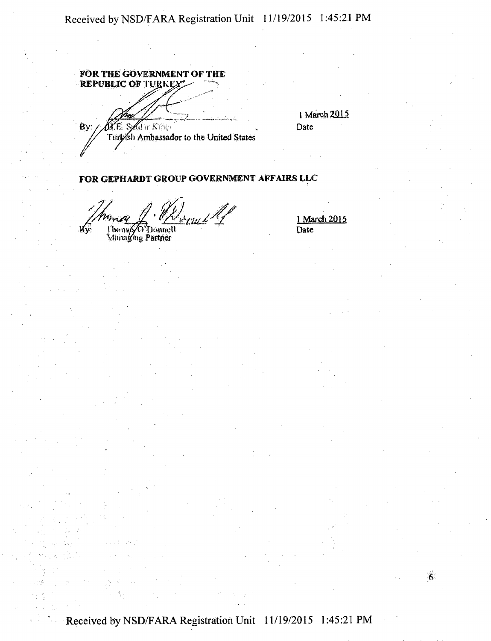FOR THE GOVERNMENT OF THE<br>REPUBLIC OF TURKEY By:  $\mathfrak{g}_{\mathfrak{m}}$  Kilk Ttrrfeish Ambassador to the United States

1 March 2015 Date

## FOR GEPHARDT GROUP GOVERNMENT AFFAIRS LLC

**Jounell** Wν.

\/homgyO'Donnel<br>\4hinaging **Partner** 

1 March 2015 Date

Ĝ,

Received by NSD/FARA Registration Unit 11/19/2015 1:45:21 PM